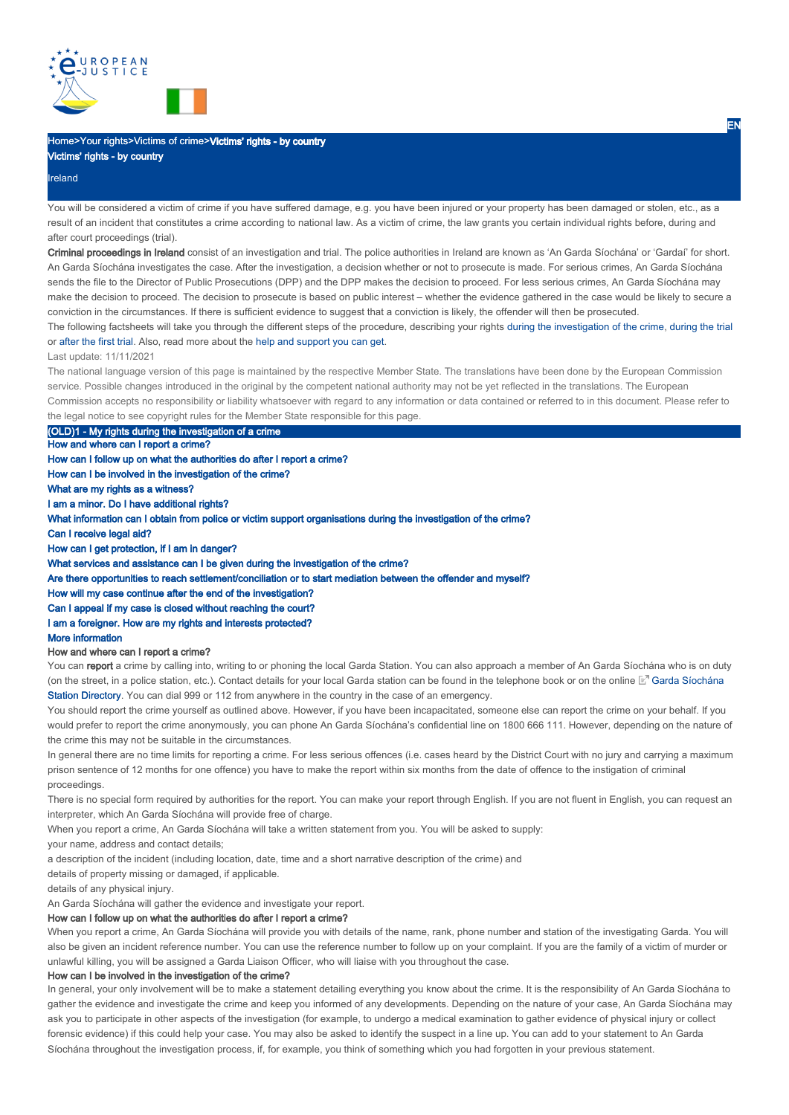

# Home>Your rights>Victims of crime>Victims' rights - by country

# Victims' rights - by country

Ireland

You will be considered a victim of crime if you have suffered damage, e.g. you have been injured or your property has been damaged or stolen, etc., as a result of an incident that constitutes a crime according to national law. As a victim of crime, the law grants you certain individual rights before, during and after court proceedings (trial).

Criminal proceedings in Ireland consist of an investigation and trial. The police authorities in Ireland are known as 'An Garda Síochána' or 'Gardaí' for short. An Garda Síochána investigates the case. After the investigation, a decision whether or not to prosecute is made. For serious crimes, An Garda Síochána sends the file to the Director of Public Prosecutions (DPP) and the DPP makes the decision to proceed. For less serious crimes, An Garda Síochána may make the decision to proceed. The decision to prosecute is based on public interest – whether the evidence gathered in the case would be likely to secure a conviction in the circumstances. If there is sufficient evidence to suggest that a conviction is likely, the offender will then be prosecuted.

The following factsheets will take you through the different steps of the procedure, describing your rights during the investigation of the crime, during the trial or after the first trial. Also, read more about the help and support you can get.

#### Last update: 11/11/2021

The national language version of this page is maintained by the respective Member State. The translations have been done by the European Commission service. Possible changes introduced in the original by the competent national authority may not be yet reflected in the translations. The European Commission accepts no responsibility or liability whatsoever with regard to any information or data contained or referred to in this document. Please refer to the legal notice to see copyright rules for the Member State responsible for this page.

(OLD)1 - My rights during the investigation of a crime

How and where can I report a crime?

How can I follow up on what the authorities do after I report a crime?

How can I be involved in the investigation of the crime?

What are my rights as a witness?

I am a minor. Do I have additional rights?

What information can I obtain from police or victim support organisations during the investigation of the crime?

#### Can I receive legal aid?

How can I get protection, if I am in danger?

What services and assistance can I be given during the investigation of the crime?

Are there opportunities to reach settlement/conciliation or to start mediation between the offender and myself?

How will my case continue after the end of the investigation?

Can I appeal if my case is closed without reaching the court?

### I am a foreigner. How are my rights and interests protected?

#### More information

### How and where can I report a crime?

You can report a crime by calling into, writing to or phoning the local Garda Station. You can also approach a member of An Garda Síochána who is on duty (on the street, in a police station, etc.). Contact details for your local Garda station can be found in the telephone book or on the online ⊠" Garda Síochána Station Directory. You can dial 999 or 112 from anywhere in the country in the case of an emergency.

You should report the crime yourself as outlined above. However, if you have been incapacitated, someone else can report the crime on your behalf. If you would prefer to report the crime anonymously, you can phone An Garda Síochána's confidential line on 1800 666 111. However, depending on the nature of the crime this may not be suitable in the circumstances.

In general there are no time limits for reporting a crime. For less serious offences (i.e. cases heard by the District Court with no jury and carrying a maximum prison sentence of 12 months for one offence) you have to make the report within six months from the date of offence to the instigation of criminal proceedings.

There is no special form required by authorities for the report. You can make your report through English. If you are not fluent in English, you can request an interpreter, which An Garda Síochána will provide free of charge.

When you report a crime, An Garda Síochána will take a written statement from you. You will be asked to supply:

your name, address and contact details;

a description of the incident (including location, date, time and a short narrative description of the crime) and

details of property missing or damaged, if applicable.

details of any physical injury.

An Garda Síochána will gather the evidence and investigate your report.

### How can I follow up on what the authorities do after I report a crime?

When you report a crime, An Garda Síochána will provide you with details of the name, rank, phone number and station of the investigating Garda. You will also be given an incident reference number. You can use the reference number to follow up on your complaint. If you are the family of a victim of murder or unlawful killing, you will be assigned a Garda Liaison Officer, who will liaise with you throughout the case.

#### How can I be involved in the investigation of the crime?

In general, your only involvement will be to make a statement detailing everything you know about the crime. It is the responsibility of An Garda Síochána to gather the evidence and investigate the crime and keep you informed of any developments. Depending on the nature of your case, An Garda Síochána may ask you to participate in other aspects of the investigation (for example, to undergo a medical examination to gather evidence of physical injury or collect forensic evidence) if this could help your case. You may also be asked to identify the suspect in a line up. You can add to your statement to An Garda Síochána throughout the investigation process, if, for example, you think of something which you had forgotten in your previous statement.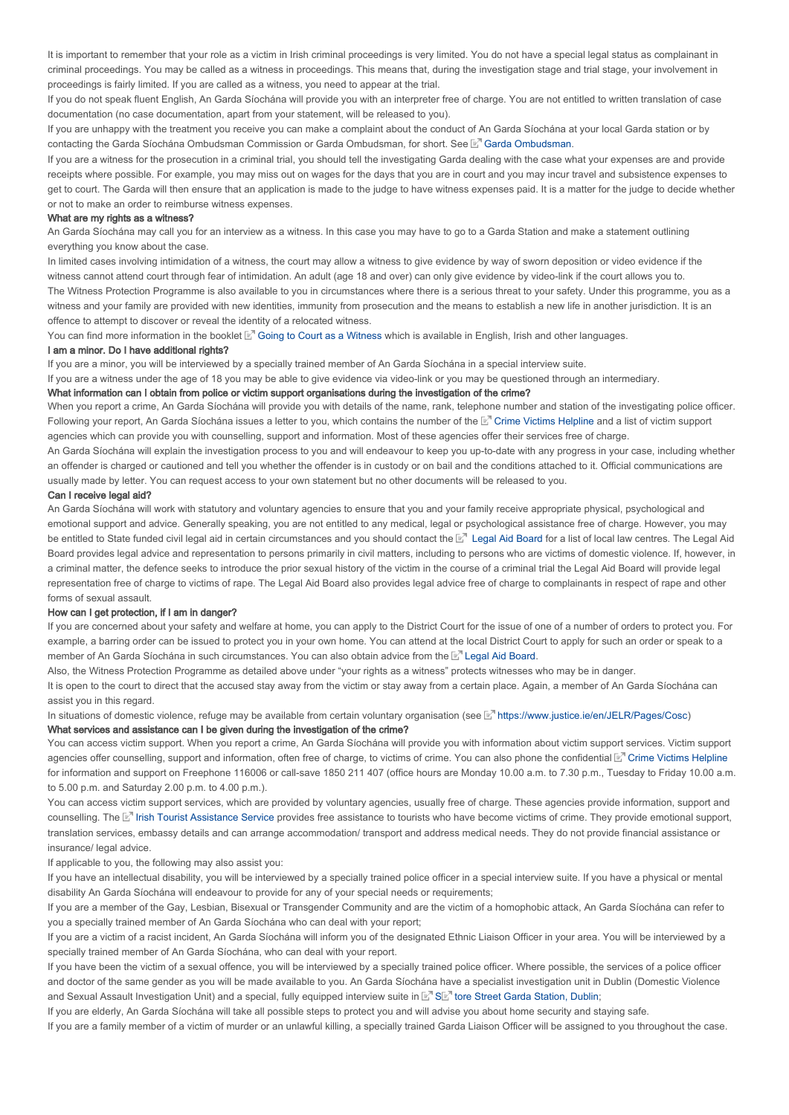It is important to remember that your role as a victim in Irish criminal proceedings is very limited. You do not have a special legal status as complainant in criminal proceedings. You may be called as a witness in proceedings. This means that, during the investigation stage and trial stage, your involvement in proceedings is fairly limited. If you are called as a witness, you need to appear at the trial.

If you do not speak fluent English, An Garda Síochána will provide you with an interpreter free of charge. You are not entitled to written translation of case documentation (no case documentation, apart from your statement, will be released to you).

If you are unhappy with the treatment you receive you can make a complaint about the conduct of An Garda Síochána at your local Garda station or by contacting the Garda Síochána Ombudsman Commission or Garda Ombudsman, for short. See L<sup>en</sup> Garda Ombudsman.

If you are a witness for the prosecution in a criminal trial, you should tell the investigating Garda dealing with the case what your expenses are and provide receipts where possible. For example, you may miss out on wages for the days that you are in court and you may incur travel and subsistence expenses to get to court. The Garda will then ensure that an application is made to the judge to have witness expenses paid. It is a matter for the judge to decide whether or not to make an order to reimburse witness expenses.

#### What are my rights as a witness?

An Garda Síochána may call you for an interview as a witness. In this case you may have to go to a Garda Station and make a statement outlining everything you know about the case.

In limited cases involving intimidation of a witness, the court may allow a witness to give evidence by way of sworn deposition or video evidence if the witness cannot attend court through fear of intimidation. An adult (age 18 and over) can only give evidence by video-link if the court allows you to. The Witness Protection Programme is also available to you in circumstances where there is a serious threat to your safety. Under this programme, you as a witness and your family are provided with new identities, immunity from prosecution and the means to establish a new life in another jurisdiction. It is an offence to attempt to discover or reveal the identity of a relocated witness.

You can find more information in the booklet ⊠" Going to Court as a Witness which is available in English, Irish and other languages.

# I am a minor. Do I have additional rights?

If you are a minor, you will be interviewed by a specially trained member of An Garda Síochána in a special interview suite.

If you are a witness under the age of 18 you may be able to give evidence via video-link or you may be questioned through an intermediary.

#### What information can I obtain from police or victim support organisations during the investigation of the crime?

When you report a crime, An Garda Síochána will provide you with details of the name, rank, telephone number and station of the investigating police officer. Following your report, An Garda Síochána issues a letter to you, which contains the number of the ⊠" Crime Victims Helpline and a list of victim support agencies which can provide you with counselling, support and information. Most of these agencies offer their services free of charge.

An Garda Síochána will explain the investigation process to you and will endeavour to keep you up-to-date with any progress in your case, including whether an offender is charged or cautioned and tell you whether the offender is in custody or on bail and the conditions attached to it. Official communications are usually made by letter. You can request access to your own statement but no other documents will be released to you.

#### Can I receive legal aid?

An Garda Síochána will work with statutory and voluntary agencies to ensure that you and your family receive appropriate physical, psychological and emotional support and advice. Generally speaking, you are not entitled to any medical, legal or psychological assistance free of charge. However, you may be entitled to State funded civil legal aid in certain circumstances and you should contact the M™ Legal Aid Board for a list of local law centres. The Legal Aid Board provides legal advice and representation to persons primarily in civil matters, including to persons who are victims of domestic violence. If, however, in a criminal matter, the defence seeks to introduce the prior sexual history of the victim in the course of a criminal trial the Legal Aid Board will provide legal representation free of charge to victims of rape. The Legal Aid Board also provides legal advice free of charge to complainants in respect of rape and other forms of sexual assault.

#### How can I get protection, if I am in danger?

If you are concerned about your safety and welfare at home, you can apply to the District Court for the issue of one of a number of orders to protect you. For example, a barring order can be issued to protect you in your own home. You can attend at the local District Court to apply for such an order or speak to a member of An Garda Síochána in such circumstances. You can also obtain advice from the ⊠" Legal Aid Board.

Also, the Witness Protection Programme as detailed above under "your rights as a witness" protects witnesses who may be in danger.

It is open to the court to direct that the accused stay away from the victim or stay away from a certain place. Again, a member of An Garda Síochána can assist you in this regard.

In situations of domestic violence, refuge may be available from certain voluntary organisation (see Mettps://www.justice.ie/en/JELR/Pages/Cosc) What services and assistance can I be given during the investigation of the crime?

You can access victim support. When you report a crime, An Garda Síochána will provide you with information about victim support services. Victim support agencies offer counselling, support and information, often free of charge, to victims of crime. You can also phone the confidential Crime Victims Helpline for information and support on Freephone 116006 or call-save 1850 211 407 (office hours are Monday 10.00 a.m. to 7.30 p.m., Tuesday to Friday 10.00 a.m. to 5.00 p.m. and Saturday 2.00 p.m. to 4.00 p.m.).

You can access victim support services, which are provided by voluntary agencies, usually free of charge. These agencies provide information, support and counselling. The L<sup>er</sup> Irish Tourist Assistance Service provides free assistance to tourists who have become victims of crime. They provide emotional support, translation services, embassy details and can arrange accommodation/ transport and address medical needs. They do not provide financial assistance or insurance/ legal advice

If applicable to you, the following may also assist you:

If you have an intellectual disability, you will be interviewed by a specially trained police officer in a special interview suite. If you have a physical or mental disability An Garda Síochána will endeavour to provide for any of your special needs or requirements;

If you are a member of the Gay, Lesbian, Bisexual or Transgender Community and are the victim of a homophobic attack, An Garda Síochána can refer to you a specially trained member of An Garda Síochána who can deal with your report;

If you are a victim of a racist incident, An Garda Síochána will inform you of the designated Ethnic Liaison Officer in your area. You will be interviewed by a specially trained member of An Garda Síochána, who can deal with your report.

If you have been the victim of a sexual offence, you will be interviewed by a specially trained police officer. Where possible, the services of a police officer and doctor of the same gender as you will be made available to you. An Garda Síochána have a specialist investigation unit in Dublin (Domestic Violence and Sexual Assault Investigation Unit) and a special, fully equipped interview suite in  $\mathbb{E}^n$  S $\mathbb{E}^n$  tore Street Garda Station, Dublin;

If you are elderly, An Garda Síochána will take all possible steps to protect you and will advise you about home security and staying safe.

If you are a family member of a victim of murder or an unlawful killing, a specially trained Garda Liaison Officer will be assigned to you throughout the case.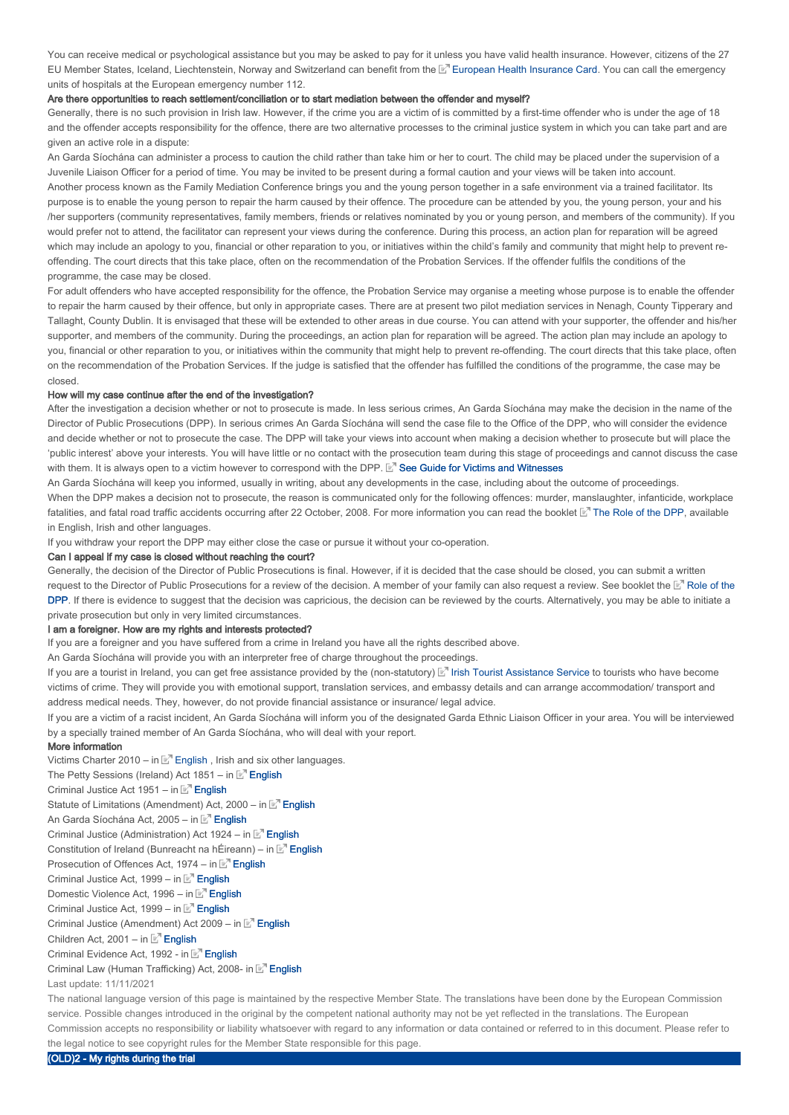You can receive medical or psychological assistance but you may be asked to pay for it unless you have valid health insurance. However, citizens of the 27 EU Member States, Iceland, Liechtenstein, Norway and Switzerland can benefit from the L<sup>er</sup> European Health Insurance Card. You can call the emergency units of hospitals at the European emergency number 112.

#### Are there opportunities to reach settlement/conciliation or to start mediation between the offender and myself?

Generally, there is no such provision in Irish law. However, if the crime you are a victim of is committed by a first-time offender who is under the age of 18 and the offender accepts responsibility for the offence, there are two alternative processes to the criminal justice system in which you can take part and are given an active role in a dispute:

An Garda Síochána can administer a process to caution the child rather than take him or her to court. The child may be placed under the supervision of a Juvenile Liaison Officer for a period of time. You may be invited to be present during a formal caution and your views will be taken into account. Another process known as the Family Mediation Conference brings you and the young person together in a safe environment via a trained facilitator. Its purpose is to enable the young person to repair the harm caused by their offence. The procedure can be attended by you, the young person, your and his /her supporters (community representatives, family members, friends or relatives nominated by you or young person, and members of the community). If you would prefer not to attend, the facilitator can represent your views during the conference. During this process, an action plan for reparation will be agreed which may include an apology to you, financial or other reparation to you, or initiatives within the child's family and community that might help to prevent reoffending. The court directs that this take place, often on the recommendation of the Probation Services. If the offender fulfils the conditions of the programme, the case may be closed.

For adult offenders who have accepted responsibility for the offence, the Probation Service may organise a meeting whose purpose is to enable the offender to repair the harm caused by their offence, but only in appropriate cases. There are at present two pilot mediation services in Nenagh, County Tipperary and Tallaght, County Dublin. It is envisaged that these will be extended to other areas in due course. You can attend with your supporter, the offender and his/her supporter, and members of the community. During the proceedings, an action plan for reparation will be agreed. The action plan may include an apology to you, financial or other reparation to you, or initiatives within the community that might help to prevent re-offending. The court directs that this take place, often on the recommendation of the Probation Services. If the judge is satisfied that the offender has fulfilled the conditions of the programme, the case may be closed.

#### How will my case continue after the end of the investigation?

After the investigation a decision whether or not to prosecute is made. In less serious crimes, An Garda Síochána may make the decision in the name of the Director of Public Prosecutions (DPP). In serious crimes An Garda Síochána will send the case file to the Office of the DPP, who will consider the evidence and decide whether or not to prosecute the case. The DPP will take your views into account when making a decision whether to prosecute but will place the 'public interest' above your interests. You will have little or no contact with the prosecution team during this stage of proceedings and cannot discuss the case with them. It is always open to a victim however to correspond with the DPP. E<sup>7</sup> See Guide for Victims and Witnesses

An Garda Síochána will keep you informed, usually in writing, about any developments in the case, including about the outcome of proceedings. When the DPP makes a decision not to prosecute, the reason is communicated only for the following offences: murder, manslaughter, infanticide, workplace fatalities, and fatal road traffic accidents occurring after 22 October, 2008. For more information you can read the booklet MThe Role of the DPP, available in English, Irish and other languages.

If you withdraw your report the DPP may either close the case or pursue it without your co-operation.

### Can I appeal if my case is closed without reaching the court?

Generally, the decision of the Director of Public Prosecutions is final. However, if it is decided that the case should be closed, you can submit a written request to the Director of Public Prosecutions for a review of the decision. A member of your family can also request a review. See booklet the E' Role of the DPP. If there is evidence to suggest that the decision was capricious, the decision can be reviewed by the courts. Alternatively, you may be able to initiate a DPP private prosecution but only in very limited circumstances.

#### I am a foreigner. How are my rights and interests protected?

If you are a foreigner and you have suffered from a crime in Ireland you have all the rights described above.

An Garda Síochána will provide you with an interpreter free of charge throughout the proceedings.

If you are a tourist in Ireland, you can get free assistance provided by the (non-statutory) [E" Irish Tourist Assistance Service to tourists who have become victims of crime. They will provide you with emotional support, translation services, and embassy details and can arrange accommodation/ transport and address medical needs. They, however, do not provide financial assistance or insurance/ legal advice.

If you are a victim of a racist incident, An Garda Síochána will inform you of the designated Garda Ethnic Liaison Officer in your area. You will be interviewed by a specially trained member of An Garda Síochána, who will deal with your report.

### More information

Victims Charter 2010 – in  $E<sup>n</sup>$  English, Irish and six other languages.

- The Petty Sessions (Ireland) Act 1851 in  $E^{\mathsf{T}}$  English
- Criminal Justice Act 1951 in  $\mathbb{E}^n$  English

Statute of Limitations (Amendment) Act, 2000 – in E<sup>n</sup> English

An Garda Síochána Act, 2005 – in E<sup>n</sup> English

Criminal Justice (Administration) Act 1924 – in  $\mathbb{E}^n$  English

Constitution of Ireland (Bunreacht na hÉireann) – in  $\mathbb{E}^n$  English

Prosecution of Offences Act, 1974 – in  $E^T$  English

Criminal Justice Act, 1999 – in **F**<sup>1</sup> English

Domestic Violence Act, 1996 – in E<sup>n</sup> English

Criminal Justice Act, 1999 – in E<sup>n</sup> English

Criminal Justice (Amendment) Act 2009 – in E<sup>n</sup> English

Children Act, 2001 – in  $\mathbb{E}^n$  English

Criminal Evidence Act, 1992 - in **E**<sup>1</sup> English

Criminal Law (Human Trafficking) Act, 2008- in E<sup>n</sup> English

Last update: 11/11/2021

The national language version of this page is maintained by the respective Member State. The translations have been done by the European Commission service. Possible changes introduced in the original by the competent national authority may not be yet reflected in the translations. The European Commission accepts no responsibility or liability whatsoever with regard to any information or data contained or referred to in this document. Please refer to the legal notice to see copyright rules for the Member State responsible for this page.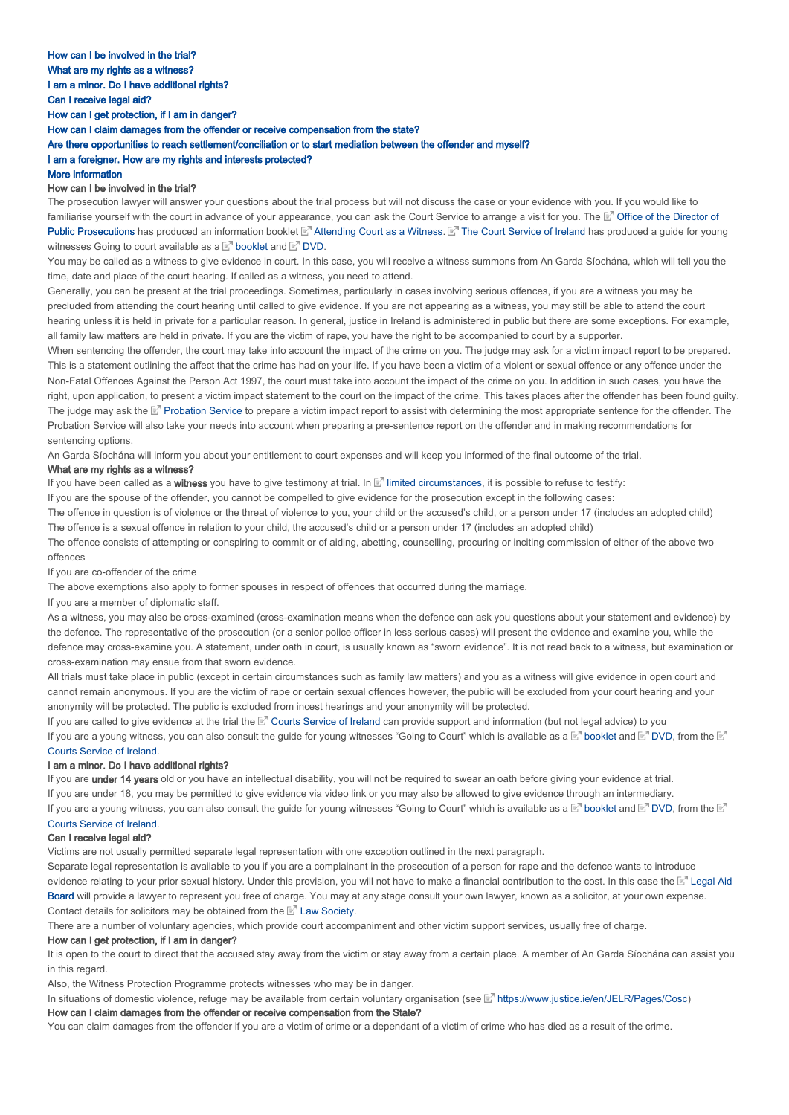### I am a foreigner. How are my rights and interests protected?

#### More information

#### How can I be involved in the trial?

The prosecution lawyer will answer your questions about the trial process but will not discuss the case or your evidence with you. If you would like to familiarise yourself with the court in advance of your appearance, you can ask the Court Service to arrange a visit for you. The L<sup>o</sup> Office of the Director of Public Prosecutions has produced an information booklet M' Attending Court as a Witness. M' The Court Service of Ireland has produced a guide for young witnesses Going to court available as a  $\square'$  booklet and  $\square'$  DVD.

You may be called as a witness to give evidence in court. In this case, you will receive a witness summons from An Garda Síochána, which will tell you the time, date and place of the court hearing. If called as a witness, you need to attend.

Generally, you can be present at the trial proceedings. Sometimes, particularly in cases involving serious offences, if you are a witness you may be precluded from attending the court hearing until called to give evidence. If you are not appearing as a witness, you may still be able to attend the court hearing unless it is held in private for a particular reason. In general, justice in Ireland is administered in public but there are some exceptions. For example, all family law matters are held in private. If you are the victim of rape, you have the right to be accompanied to court by a supporter.

When sentencing the offender, the court may take into account the impact of the crime on you. The judge may ask for a victim impact report to be prepared. This is a statement outlining the affect that the crime has had on your life. If you have been a victim of a violent or sexual offence or any offence under the Non-Fatal Offences Against the Person Act 1997, the court must take into account the impact of the crime on you. In addition in such cases, you have the right, upon application, to present a victim impact statement to the court on the impact of the crime. This takes places after the offender has been found guilty. The judge may ask the ™ Probation Service to prepare a victim impact report to assist with determining the most appropriate sentence for the offender. The Probation Service will also take your needs into account when preparing a pre-sentence report on the offender and in making recommendations for sentencing options.

An Garda Síochána will inform you about your entitlement to court expenses and will keep you informed of the final outcome of the trial.

### What are my rights as a witness?

If you have been called as a witness you have to give testimony at trial. In **E**<sup>r</sup> limited circumstances, it is possible to refuse to testify:

If you are the spouse of the offender, you cannot be compelled to give evidence for the prosecution except in the following cases:

The offence in question is of violence or the threat of violence to you, your child or the accused's child, or a person under 17 (includes an adopted child) The offence is a sexual offence in relation to your child, the accused's child or a person under 17 (includes an adopted child)

The offence consists of attempting or conspiring to commit or of aiding, abetting, counselling, procuring or inciting commission of either of the above two offences

If you are co-offender of the crime

The above exemptions also apply to former spouses in respect of offences that occurred during the marriage.

If you are a member of diplomatic staff.

As a witness, you may also be cross-examined (cross-examination means when the defence can ask you questions about your statement and evidence) by the defence. The representative of the prosecution (or a senior police officer in less serious cases) will present the evidence and examine you, while the defence may cross-examine you. A statement, under oath in court, is usually known as "sworn evidence". It is not read back to a witness, but examination or cross-examination may ensue from that sworn evidence.

All trials must take place in public (except in certain circumstances such as family law matters) and you as a witness will give evidence in open court and cannot remain anonymous. If you are the victim of rape or certain sexual offences however, the public will be excluded from your court hearing and your anonymity will be protected. The public is excluded from incest hearings and your anonymity will be protected.

If you are called to give evidence at the trial the LaT Courts Service of Ireland can provide support and information (but not legal advice) to you If you are a young witness, you can also consult the guide for young witnesses "Going to Court" which is available as a  $\mathbb E$ " booklet and  $\mathbb E$ " DVD, from the . Courts Service of Ireland

#### I am a minor. Do I have additional rights?

If you are under 14 years old or you have an intellectual disability, you will not be required to swear an oath before giving your evidence at trial. If you are under 18, you may be permitted to give evidence via video link or you may also be allowed to give evidence through an intermediary. If you are a young witness, you can also consult the guide for young witnesses "Going to Court" which is available as a  $\mathbb E^r$  booklet and  $\mathbb E^r$  DVD, from the

#### . Courts Service of Ireland

### Can I receive legal aid?

Victims are not usually permitted separate legal representation with one exception outlined in the next paragraph.

Separate legal representation is available to you if you are a complainant in the prosecution of a person for rape and the defence wants to introduce evidence relating to your prior sexual history. Under this provision, you will not have to make a financial contribution to the cost. In this case the Legal Aid Board will provide a lawyer to represent you free of charge. You may at any stage consult your own lawyer, known as a solicitor, at your own expense. Contact details for solicitors may be obtained from the  $\mathbb{E}^n$  Law Society.

There are a number of voluntary agencies, which provide court accompaniment and other victim support services, usually free of charge.

#### How can I get protection, if I am in danger?

It is open to the court to direct that the accused stay away from the victim or stay away from a certain place. A member of An Garda Síochána can assist you in this regard.

Also, the Witness Protection Programme protects witnesses who may be in danger.

In situations of domestic violence, refuge may be available from certain voluntary organisation (see [x] https://www.justice.ie/en/JELR/Pages/Cosc)

### How can I claim damages from the offender or receive compensation from the State?

You can claim damages from the offender if you are a victim of crime or a dependant of a victim of crime who has died as a result of the crime.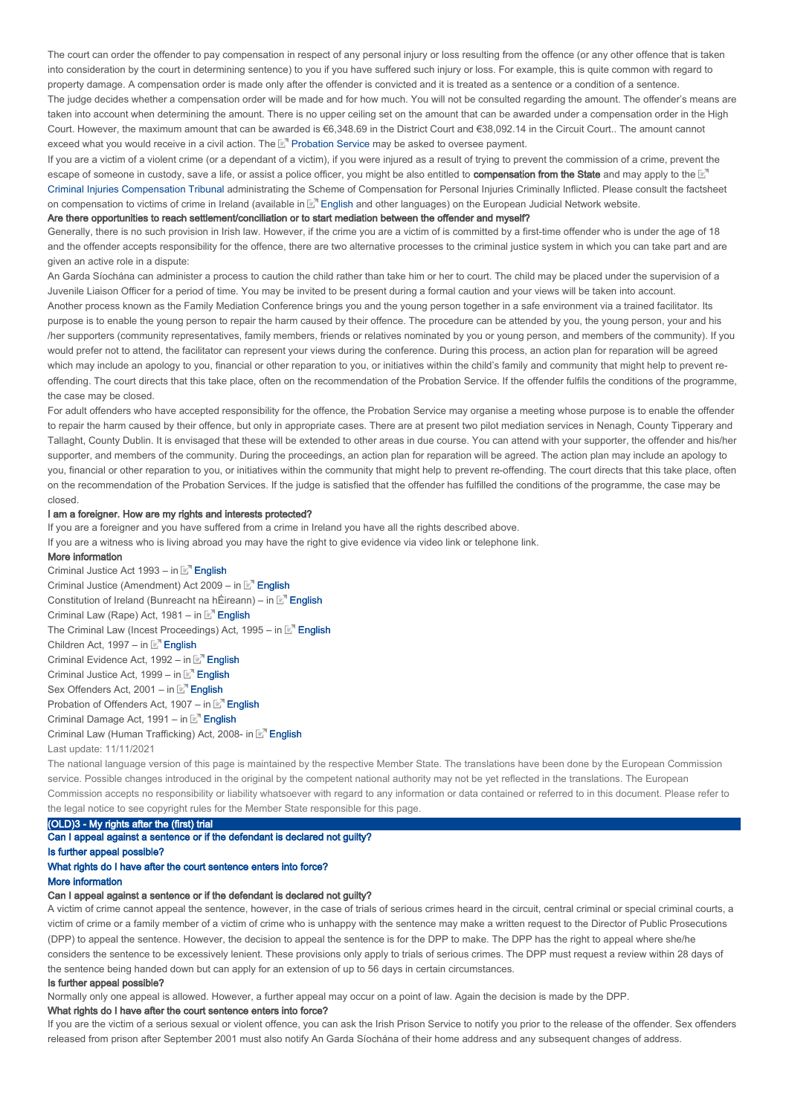The court can order the offender to pay compensation in respect of any personal injury or loss resulting from the offence (or any other offence that is taken into consideration by the court in determining sentence) to you if you have suffered such injury or loss. For example, this is quite common with regard to property damage. A compensation order is made only after the offender is convicted and it is treated as a sentence or a condition of a sentence The judge decides whether a compensation order will be made and for how much. You will not be consulted regarding the amount. The offender's means are taken into account when determining the amount. There is no upper ceiling set on the amount that can be awarded under a compensation order in the High Court. However, the maximum amount that can be awarded is €6,348.69 in the District Court and €38,092.14 in the Circuit Court.. The amount cannot exceed what you would receive in a civil action. The  $\mathbb{E}^n$  Probation Service may be asked to oversee payment.

If you are a victim of a violent crime (or a dependant of a victim), if you were injured as a result of trying to prevent the commission of a crime, prevent the escape of someone in custody, save a life, or assist a police officer, you might be also entitled to **compensation from the State** and may apply to the  $\mathbb{E}^n$ Criminal Injuries Compensation Tribunal administrating the Scheme of Compensation for Personal Injuries Criminally Inflicted. Please consult the factsheet on compensation to victims of crime in Ireland (available in La English and other languages) on the European Judicial Network website.

#### Are there opportunities to reach settlement/conciliation or to start mediation between the offender and myself?

Generally, there is no such provision in Irish law. However, if the crime you are a victim of is committed by a first-time offender who is under the age of 18 and the offender accepts responsibility for the offence, there are two alternative processes to the criminal justice system in which you can take part and are given an active role in a dispute:

An Garda Síochána can administer a process to caution the child rather than take him or her to court. The child may be placed under the supervision of a Juvenile Liaison Officer for a period of time. You may be invited to be present during a formal caution and your views will be taken into account. Another process known as the Family Mediation Conference brings you and the young person together in a safe environment via a trained facilitator. Its purpose is to enable the young person to repair the harm caused by their offence. The procedure can be attended by you, the young person, your and his /her supporters (community representatives, family members, friends or relatives nominated by you or young person, and members of the community). If you would prefer not to attend, the facilitator can represent your views during the conference. During this process, an action plan for reparation will be agreed which may include an apology to you, financial or other reparation to you, or initiatives within the child's family and community that might help to prevent reoffending. The court directs that this take place, often on the recommendation of the Probation Service. If the offender fulfils the conditions of the programme, the case may be closed.

For adult offenders who have accepted responsibility for the offence, the Probation Service may organise a meeting whose purpose is to enable the offender to repair the harm caused by their offence, but only in appropriate cases. There are at present two pilot mediation services in Nenagh, County Tipperary and Tallaght, County Dublin. It is envisaged that these will be extended to other areas in due course. You can attend with your supporter, the offender and his/her supporter, and members of the community. During the proceedings, an action plan for reparation will be agreed. The action plan may include an apology to you, financial or other reparation to you, or initiatives within the community that might help to prevent re-offending. The court directs that this take place, often on the recommendation of the Probation Services. If the judge is satisfied that the offender has fulfilled the conditions of the programme, the case may be closed.

#### I am a foreigner. How are my rights and interests protected?

If you are a foreigner and you have suffered from a crime in Ireland you have all the rights described above.

If you are a witness who is living abroad you may have the right to give evidence via video link or telephone link.

#### More information

Criminal Justice Act 1993 – in E<sup>n</sup> English Criminal Justice (Amendment) Act 2009 – in English Constitution of Ireland (Bunreacht na hÉireann) – in **E**<sup>n</sup> English Criminal Law (Rape) Act, 1981 – in E<sup>n</sup> English The Criminal Law (Incest Proceedings) Act, 1995 – in E<sup>n</sup> English Children Act, 1997 – in E<sup>n</sup> English Criminal Evidence Act, 1992 – in E<sup>n</sup> English Criminal Justice Act, 1999 – in E<sup>n</sup> English Sex Offenders Act, 2001 – in E<sup>n</sup> English Probation of Offenders Act, 1907 – in E<sup>n</sup> English Criminal Damage Act, 1991 – in **E**<sup>n</sup> English Criminal Law (Human Trafficking) Act, 2008- in E<sup>n</sup> English Last update: 11/11/2021

The national language version of this page is maintained by the respective Member State. The translations have been done by the European Commission service. Possible changes introduced in the original by the competent national authority may not be yet reflected in the translations. The European Commission accepts no responsibility or liability whatsoever with regard to any information or data contained or referred to in this document. Please refer to the legal notice to see copyright rules for the Member State responsible for this page.

# (OLD)3 - My rights after the (first) trial

### Can I appeal against a sentence or if the defendant is declared not guilty?

Is further appeal possible?

# What rights do I have after the court sentence enters into force?

# More information

### Can I appeal against a sentence or if the defendant is declared not guilty?

A victim of crime cannot appeal the sentence, however, in the case of trials of serious crimes heard in the circuit, central criminal or special criminal courts, a victim of crime or a family member of a victim of crime who is unhappy with the sentence may make a written request to the Director of Public Prosecutions (DPP) to appeal the sentence. However, the decision to appeal the sentence is for the DPP to make. The DPP has the right to appeal where she/he considers the sentence to be excessively lenient. These provisions only apply to trials of serious crimes. The DPP must request a review within 28 days of the sentence being handed down but can apply for an extension of up to 56 days in certain circumstances.

#### Is further appeal possible?

Normally only one appeal is allowed. However, a further appeal may occur on a point of law. Again the decision is made by the DPP.

#### What rights do I have after the court sentence enters into force?

If you are the victim of a serious sexual or violent offence, you can ask the Irish Prison Service to notify you prior to the release of the offender. Sex offenders released from prison after September 2001 must also notify An Garda Síochána of their home address and any subsequent changes of address.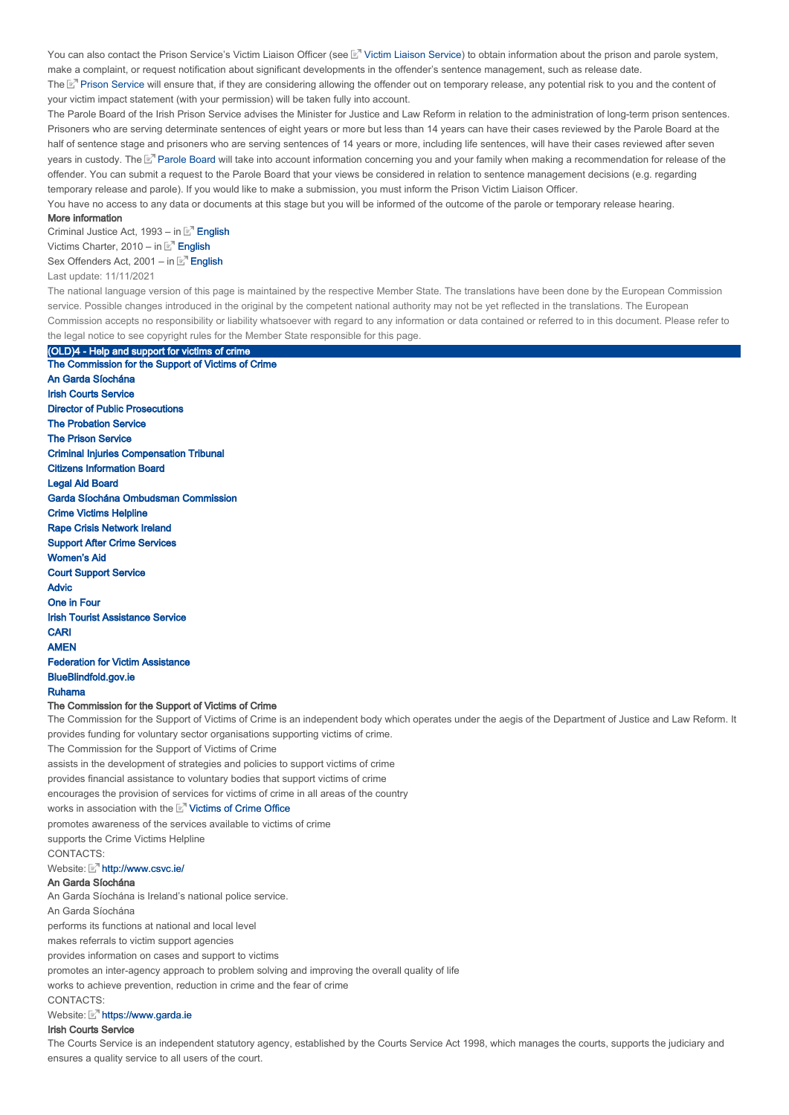You can also contact the Prison Service's Victim Liaison Officer (see ⊠" Victim Liaison Service) to obtain information about the prison and parole system, make a complaint, or request notification about significant developments in the offender's sentence management, such as release date.

The La™ Prison Service will ensure that, if they are considering allowing the offender out on temporary release, any potential risk to you and the content of your victim impact statement (with your permission) will be taken fully into account.

The Parole Board of the Irish Prison Service advises the Minister for Justice and Law Reform in relation to the administration of long-term prison sentences. Prisoners who are serving determinate sentences of eight years or more but less than 14 years can have their cases reviewed by the Parole Board at the half of sentence stage and prisoners who are serving sentences of 14 years or more, including life sentences, will have their cases reviewed after seven years in custody. The L' Parole Board will take into account information concerning you and your family when making a recommendation for release of the offender. You can submit a request to the Parole Board that your views be considered in relation to sentence management decisions (e.g. regarding temporary release and parole). If you would like to make a submission, you must inform the Prison Victim Liaison Officer.

You have no access to any data or documents at this stage but you will be informed of the outcome of the parole or temporary release hearing.

#### More information

Criminal Justice Act, 1993 – in E<sup>n</sup> English Victims Charter, 2010 – in  $E^{\text{T}}$  English Sex Offenders Act, 2001 – in E<sup>n</sup> English

(OLD)4 - Help and support for victims of crime

#### Last update: 11/11/2021

The national language version of this page is maintained by the respective Member State. The translations have been done by the European Commission service. Possible changes introduced in the original by the competent national authority may not be yet reflected in the translations. The European Commission accepts no responsibility or liability whatsoever with regard to any information or data contained or referred to in this document. Please refer to the legal notice to see copyright rules for the Member State responsible for this page.

The Commission for the Support of Victims of Crime The Commission for the Support of Victims of Crime is an independent body which operates under the aegis of the Department of Justice and Law Reform. It provides funding for voluntary sector organisations supporting victims of crime. The Commission for the Support of Victims of Crime CONTACTS<sup>®</sup> Website: Matto://www.csvc.ie/ An Garda Síochána The Commission for the Support of Victims of Crime An Garda Síochána Irish Courts Service Director of Public Prosecutions The Probation Service The Prison Service Criminal Injuries Compensation Tribunal Citizens Information Board Legal Aid Board Garda Síochána Ombudsman Commission Crime Victims Helpline Rape Crisis Network Ireland Support After Crime Services Women's Aid Court Support Service Advic One in Four Irish Tourist Assistance Service **CARI** AMEN Federation for Victim Assistance BlueBlindfold.gov.ie Ruhama assists in the development of strategies and policies to support victims of crime provides financial assistance to voluntary bodies that support victims of crime encourages the provision of services for victims of crime in all areas of the country works in association with the **Victims of Crime Office** promotes awareness of the services available to victims of crime supports the Crime Victims Helpline

#### An Garda Síochána is Ireland's national police service.

An Garda Síochána

performs its functions at national and local level

makes referrals to victim support agencies

provides information on cases and support to victims

promotes an inter-agency approach to problem solving and improving the overall quality of life

works to achieve prevention, reduction in crime and the fear of crime

**CONTACTS:** 

### Website: Mhttps://www.garda.ie

### Irish Courts Service

The Courts Service is an independent statutory agency, established by the Courts Service Act 1998, which manages the courts, supports the judiciary and ensures a quality service to all users of the court.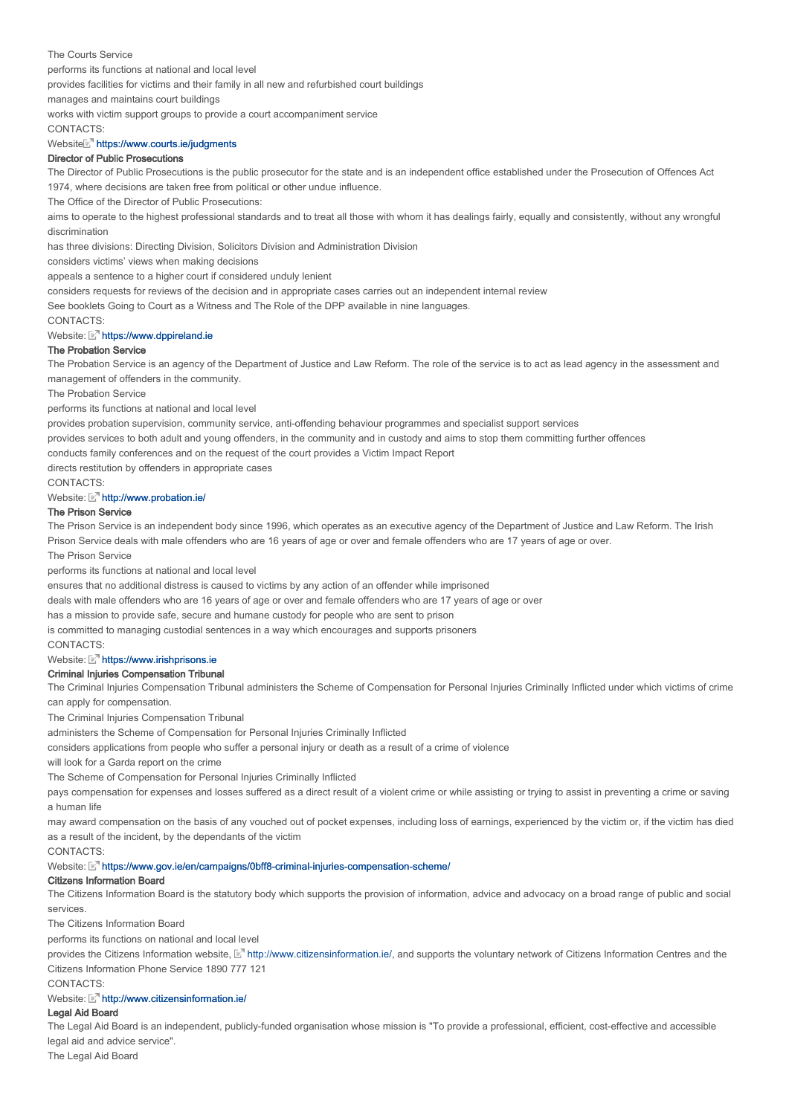#### The Courts Service

performs its functions at national and local level

provides facilities for victims and their family in all new and refurbished court buildings

manages and maintains court buildings

works with victim support groups to provide a court accompaniment service

#### CONTACTS:

### Website https://www.courts.ie/judgments

#### Director of Public Prosecutions

The Director of Public Prosecutions is the public prosecutor for the state and is an independent office established under the Prosecution of Offences Act 1974, where decisions are taken free from political or other undue influence.

The Office of the Director of Public Prosecutions:

aims to operate to the highest professional standards and to treat all those with whom it has dealings fairly, equally and consistently, without any wrongful discrimination

has three divisions: Directing Division, Solicitors Division and Administration Division

considers victims' views when making decisions

appeals a sentence to a higher court if considered unduly lenient

considers requests for reviews of the decision and in appropriate cases carries out an independent internal review

See booklets Going to Court as a Witness and The Role of the DPP available in nine languages.

CONTACTS:

#### Website: Mhttps://www.dppireland.ie

### The Probation Service

The Probation Service is an agency of the Department of Justice and Law Reform. The role of the service is to act as lead agency in the assessment and management of offenders in the community.

#### The Probation Service

performs its functions at national and local level

provides probation supervision, community service, anti-offending behaviour programmes and specialist support services

provides services to both adult and young offenders, in the community and in custody and aims to stop them committing further offences

conducts family conferences and on the request of the court provides a Victim Impact Report

directs restitution by offenders in appropriate cases

CONTACTS:

### Website: Mhttp://www.probation.ie/

### The Prison Service

The Prison Service is an independent body since 1996, which operates as an executive agency of the Department of Justice and Law Reform. The Irish Prison Service deals with male offenders who are 16 years of age or over and female offenders who are 17 years of age or over.

The Prison Service

performs its functions at national and local level

ensures that no additional distress is caused to victims by any action of an offender while imprisoned

deals with male offenders who are 16 years of age or over and female offenders who are 17 years of age or over

has a mission to provide safe, secure and humane custody for people who are sent to prison

is committed to managing custodial sentences in a way which encourages and supports prisoners

CONTACTS:

#### Website: Mhttps://www.irishprisons.ie

### Criminal Injuries Compensation Tribunal

The Criminal Injuries Compensation Tribunal administers the Scheme of Compensation for Personal Injuries Criminally Inflicted under which victims of crime can apply for compensation.

The Criminal Injuries Compensation Tribunal

administers the Scheme of Compensation for Personal Injuries Criminally Inflicted

considers applications from people who suffer a personal injury or death as a result of a crime of violence

will look for a Garda report on the crime

The Scheme of Compensation for Personal Injuries Criminally Inflicted

pays compensation for expenses and losses suffered as a direct result of a violent crime or while assisting or trying to assist in preventing a crime or saving a human life

may award compensation on the basis of any vouched out of pocket expenses, including loss of earnings, experienced by the victim or, if the victim has died as a result of the incident, by the dependants of the victim

**CONTACTS:** 

Website: https://www.gov.ie/en/campaigns/0bff8-criminal-injuries-compensation-scheme/

### Citizens Information Board

The Citizens Information Board is the statutory body which supports the provision of information, advice and advocacy on a broad range of public and social services.

The Citizens Information Board

performs its functions on national and local level

provides the Citizens Information website, La<sup>n</sup> http://www.citizensinformation.ie/, and supports the voluntary network of Citizens Information Centres and the Citizens Information Phone Service 1890 777 121

CONTACTS:

#### Website: Matto://www.citizensinformation.je/

#### Legal Aid Board

The Legal Aid Board is an independent, publicly-funded organisation whose mission is "To provide a professional, efficient, cost-effective and accessible legal aid and advice service".

The Legal Aid Board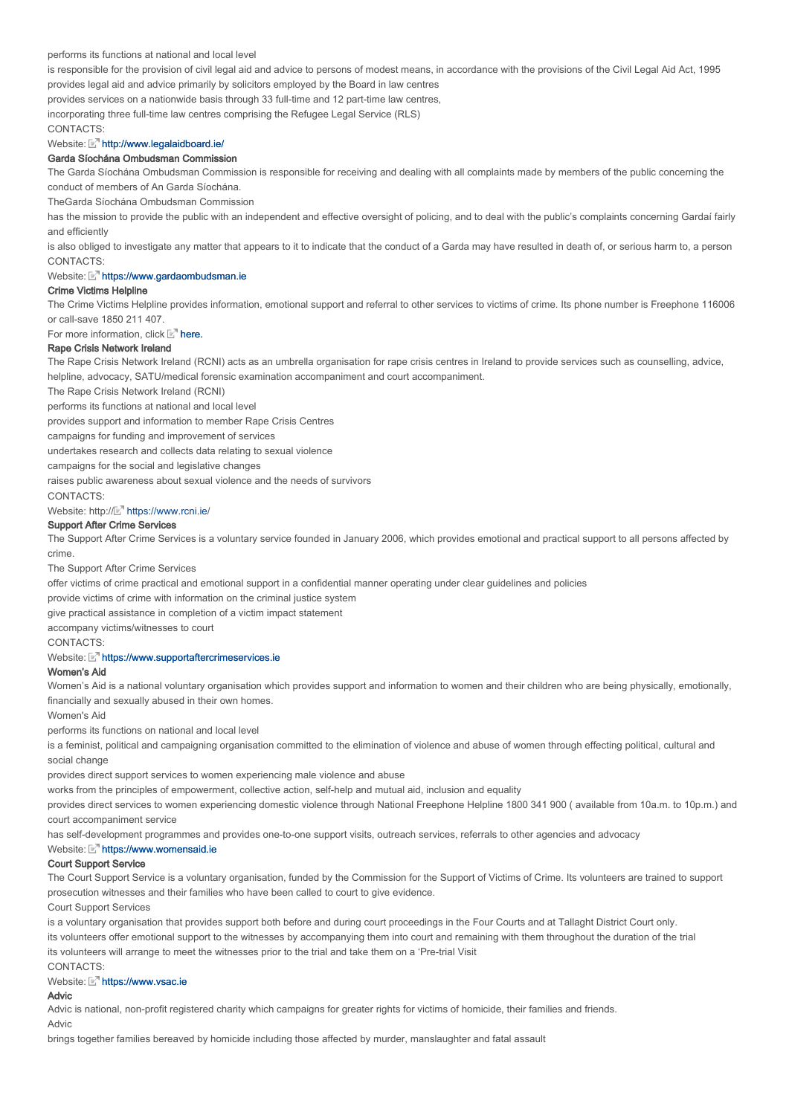### performs its functions at national and local level

is responsible for the provision of civil legal aid and advice to persons of modest means, in accordance with the provisions of the Civil Legal Aid Act, 1995 provides legal aid and advice primarily by solicitors employed by the Board in law centres

provides services on a nationwide basis through 33 full-time and 12 part-time law centres,

incorporating three full-time law centres comprising the Refugee Legal Service (RLS)

CONTACTS:

# Website: Mattp://www.legalaidboard.ie/

#### Garda Síochána Ombudsman Commission

The Garda Síochána Ombudsman Commission is responsible for receiving and dealing with all complaints made by members of the public concerning the conduct of members of An Garda Síochána.

TheGarda Síochána Ombudsman Commission

has the mission to provide the public with an independent and effective oversight of policing, and to deal with the public's complaints concerning Gardaí fairly and efficiently

CONTACTS: is also obliged to investigate any matter that appears to it to indicate that the conduct of a Garda may have resulted in death of, or serious harm to, a person

### Website: Multips://www.gardaombudsman.ie

### Crime Victims Helpline

The Crime Victims Helpline provides information, emotional support and referral to other services to victims of crime. Its phone number is Freephone 116006 or call-save 1850 211 407.

For more information, click  $E<sup>n</sup>$  here.

#### Rape Crisis Network Ireland

The Rape Crisis Network Ireland (RCNI) acts as an umbrella organisation for rape crisis centres in Ireland to provide services such as counselling, advice, helpline, advocacy, SATU/medical forensic examination accompaniment and court accompaniment.

The Rape Crisis Network Ireland (RCNI)

performs its functions at national and local level

provides support and information to member Rape Crisis Centres

campaigns for funding and improvement of services

undertakes research and collects data relating to sexual violence

campaigns for the social and legislative changes

raises public awareness about sexual violence and the needs of survivors

CONTACTS:

#### Website: http:// https://www.rcni.ie/

### Support After Crime Services

The Support After Crime Services is a voluntary service founded in January 2006, which provides emotional and practical support to all persons affected by crime.

The Support After Crime Services

offer victims of crime practical and emotional support in a confidential manner operating under clear guidelines and policies

provide victims of crime with information on the criminal justice system

give practical assistance in completion of a victim impact statement

accompany victims/witnesses to court

CONTACTS:

#### Website: Multips://www.supportaftercrimeservices.ie

### Women's Aid

Women's Aid is a national voluntary organisation which provides support and information to women and their children who are being physically, emotionally, financially and sexually abused in their own homes.

Women's Aid

performs its functions on national and local level

is a feminist, political and campaigning organisation committed to the elimination of violence and abuse of women through effecting political, cultural and social change

provides direct support services to women experiencing male violence and abuse

works from the principles of empowerment, collective action, self-help and mutual aid, inclusion and equality

provides direct services to women experiencing domestic violence through National Freephone Helpline 1800 341 900 ( available from 10a.m. to 10p.m.) and court accompaniment service

has self-development programmes and provides one-to-one support visits, outreach services, referrals to other agencies and advocacy

#### Website:  $\mathbb{E}^n$  https://www.womensaid.ie

### Court Support Service

The Court Support Service is a voluntary organisation, funded by the Commission for the Support of Victims of Crime. Its volunteers are trained to support prosecution witnesses and their families who have been called to court to give evidence.

Court Support Services

is a voluntary organisation that provides support both before and during court proceedings in the Four Courts and at Tallaght District Court only.

its volunteers offer emotional support to the witnesses by accompanying them into court and remaining with them throughout the duration of the trial its volunteers will arrange to meet the witnesses prior to the trial and take them on a 'Pre-trial Visit

CONTACTS:

### Website: Multips://www.ysac.ie

## Advic

Advic is national, non-profit registered charity which campaigns for greater rights for victims of homicide, their families and friends.

Advic

brings together families bereaved by homicide including those affected by murder, manslaughter and fatal assault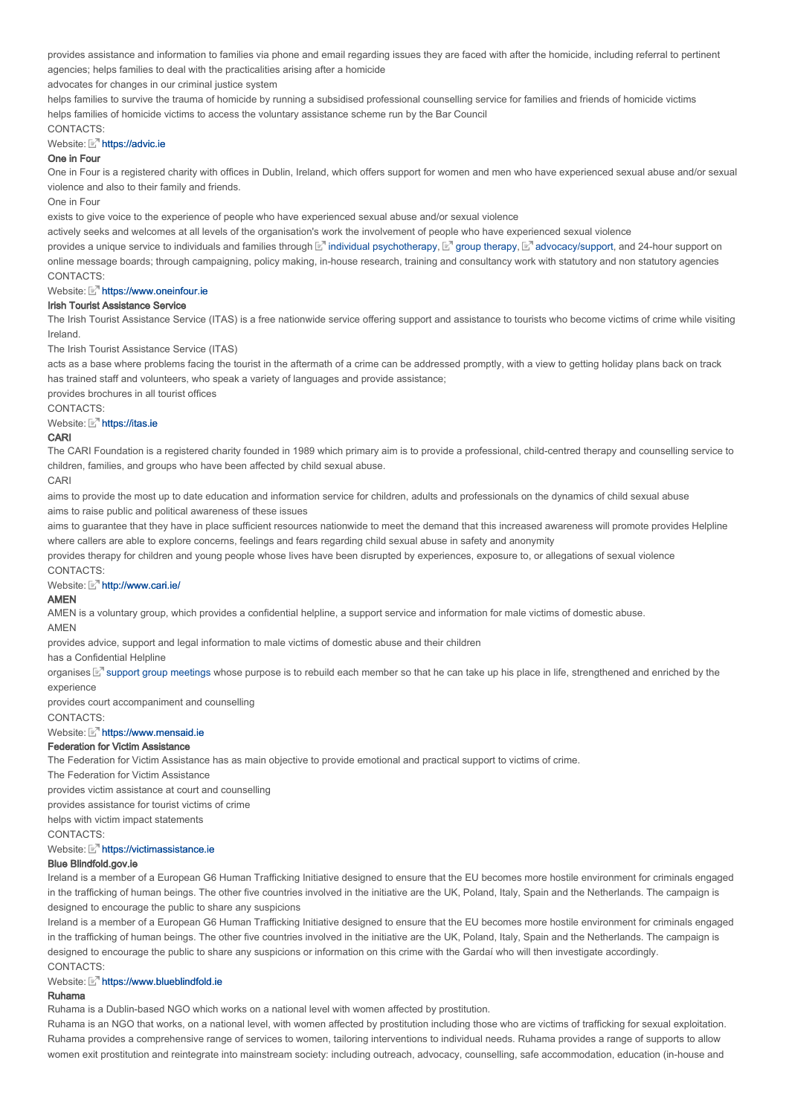provides assistance and information to families via phone and email regarding issues they are faced with after the homicide, including referral to pertinent agencies; helps families to deal with the practicalities arising after a homicide

advocates for changes in our criminal justice system

helps families to survive the trauma of homicide by running a subsidised professional counselling service for families and friends of homicide victims helps families of homicide victims to access the voluntary assistance scheme run by the Bar Council

### CONTACTS:

# Website: Multips://advic.ie

### One in Four

One in Four is a registered charity with offices in Dublin, Ireland, which offers support for women and men who have experienced sexual abuse and/or sexual violence and also to their family and friends.

One in Four

exists to give voice to the experience of people who have experienced sexual abuse and/or sexual violence

actively seeks and welcomes at all levels of the organisation's work the involvement of people who have experienced sexual violence

CONTACTS: provides a unique service to individuals and families through [st] individual psychotherapy, [st] group therapy, [st] advocacy/support, and 24-hour support on online message boards; through campaigning, policy making, in-house research, training and consultancy work with statutory and non statutory agencies

### Website: **Multips://www.oneinfour.ie**

### Irish Tourist Assistance Service

The Irish Tourist Assistance Service (ITAS) is a free nationwide service offering support and assistance to tourists who become victims of crime while visiting Ireland.

The Irish Tourist Assistance Service (ITAS)

acts as a base where problems facing the tourist in the aftermath of a crime can be addressed promptly, with a view to getting holiday plans back on track has trained staff and volunteers, who speak a variety of languages and provide assistance;

provides brochures in all tourist offices

CONTACTS:

### Website: Multips://itas.ie

### CARI

The CARI Foundation is a registered charity founded in 1989 which primary aim is to provide a professional, child-centred therapy and counselling service to children, families, and groups who have been affected by child sexual abuse.

#### CARI

aims to provide the most up to date education and information service for children, adults and professionals on the dynamics of child sexual abuse aims to raise public and political awareness of these issues

aims to guarantee that they have in place sufficient resources nationwide to meet the demand that this increased awareness will promote provides Helpline where callers are able to explore concerns, feelings and fears regarding child sexual abuse in safety and anonymity

CONTACTS: provides therapy for children and young people whose lives have been disrupted by experiences, exposure to, or allegations of sexual violence

### Website: Mhttp://www.cari.ie/

# AMEN

AMEN is a voluntary group, which provides a confidential helpline, a support service and information for male victims of domestic abuse.

AMEN

provides advice, support and legal information to male victims of domestic abuse and their children

has a Confidential Helpline

organises  $\mathbb E^n$  support group meetings whose purpose is to rebuild each member so that he can take up his place in life, strengthened and enriched by the experience

provides court accompaniment and counselling

CONTACTS:

# Website: **https://www.mensaid.ie**

# Federation for Victim Assistance

The Federation for Victim Assistance has as main objective to provide emotional and practical support to victims of crime.

The Federation for Victim Assistance

provides victim assistance at court and counselling

provides assistance for tourist victims of crime

helps with victim impact statements

**CONTACTS:** 

### Website: **M** https://victimassistance.ie

# Blue Blindfold.gov.ie

Ireland is a member of a European G6 Human Trafficking Initiative designed to ensure that the EU becomes more hostile environment for criminals engaged in the trafficking of human beings. The other five countries involved in the initiative are the UK, Poland, Italy, Spain and the Netherlands. The campaign is designed to encourage the public to share any suspicions

Ireland is a member of a European G6 Human Trafficking Initiative designed to ensure that the EU becomes more hostile environment for criminals engaged in the trafficking of human beings. The other five countries involved in the initiative are the UK, Poland, Italy, Spain and the Netherlands. The campaign is designed to encourage the public to share any suspicions or information on this crime with the Gardaí who will then investigate accordingly. CONTACTS:

# Website: Mattos://www.blueblindfold.ie

# Ruhama

Ruhama is a Dublin-based NGO which works on a national level with women affected by prostitution.

Ruhama is an NGO that works, on a national level, with women affected by prostitution including those who are victims of trafficking for sexual exploitation. Ruhama provides a comprehensive range of services to women, tailoring interventions to individual needs. Ruhama provides a range of supports to allow women exit prostitution and reintegrate into mainstream society: including outreach, advocacy, counselling, safe accommodation, education (in-house and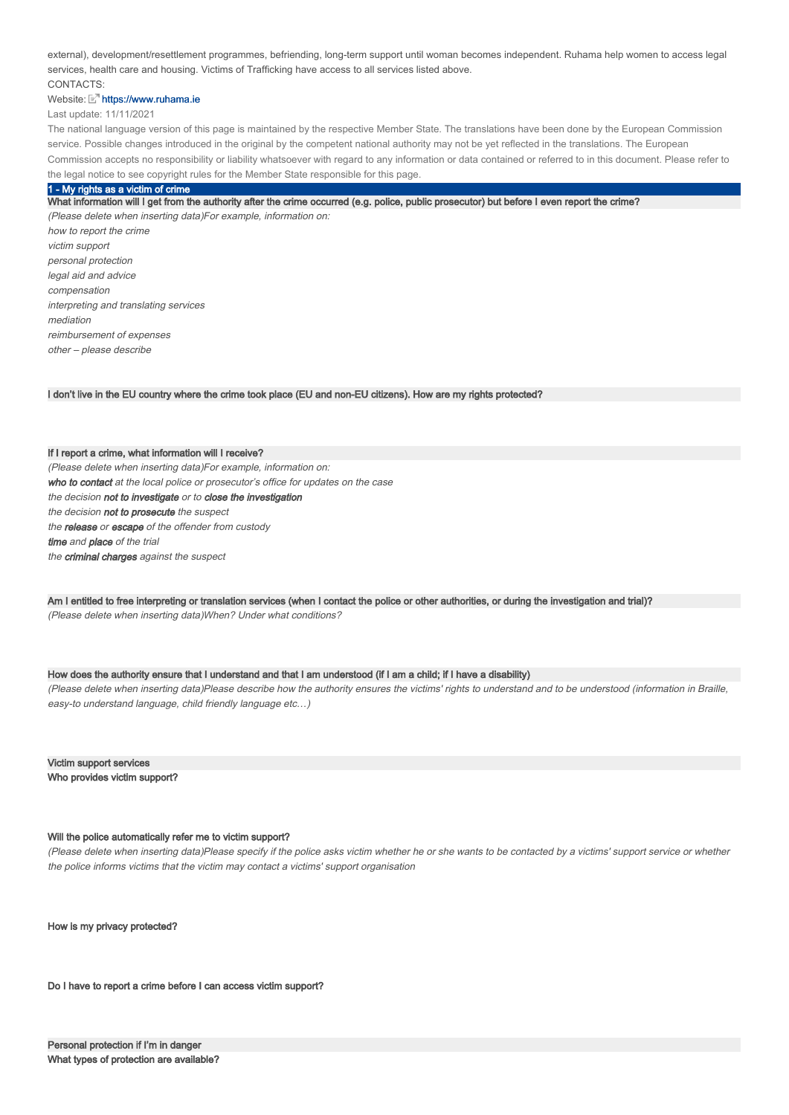external), development/resettlement programmes, befriending, long-term support until woman becomes independent. Ruhama help women to access legal services, health care and housing. Victims of Trafficking have access to all services listed above.

# CONTACTS:

# Website: Mhttps://www.ruhama.ie

Last update: 11/11/2021

The national language version of this page is maintained by the respective Member State. The translations have been done by the European Commission service. Possible changes introduced in the original by the competent national authority may not be yet reflected in the translations. The European Commission accepts no responsibility or liability whatsoever with regard to any information or data contained or referred to in this document. Please refer to the legal notice to see copyright rules for the Member State responsible for this page.

#### 1 - My rights as a victim of crime

What information will I get from the authority after the crime occurred (e.g. police, public prosecutor) but before I even report the crime? (Please delete when inserting data)For example, information on: how to report the crime victim support personal protection legal aid and advice compensation interpreting and translating services mediation reimbursement of expenses other – please describe

I don't live in the EU country where the crime took place (EU and non-EU citizens). How are my rights protected?

If I report a crime, what information will I receive? (Please delete when inserting data)For example, information on: who to contact at the local police or prosecutor's office for updates on the case the decision not to investigate or to close the investigation the decision not to prosecute the suspect the release or escape of the offender from custody time and place of the trial the criminal charges against the suspect

Am I entitled to free interpreting or translation services (when I contact the police or other authorities, or during the investigation and trial)? (Please delete when inserting data)When? Under what conditions?

### How does the authority ensure that I understand and that I am understood (if I am a child; if I have a disability)

(Please delete when inserting data)Please describe how the authority ensures the victims' rights to understand and to be understood (information in Braille, easy-to understand language, child friendly language etc…)

Victim support services Who provides victim support?

### Will the police automatically refer me to victim support?

(Please delete when inserting data)Please specify if the police asks victim whether he or she wants to be contacted by a victims' support service or whether the police informs victims that the victim may contact a victims' support organisation

How is my privacy protected?

Do I have to report a crime before I can access victim support?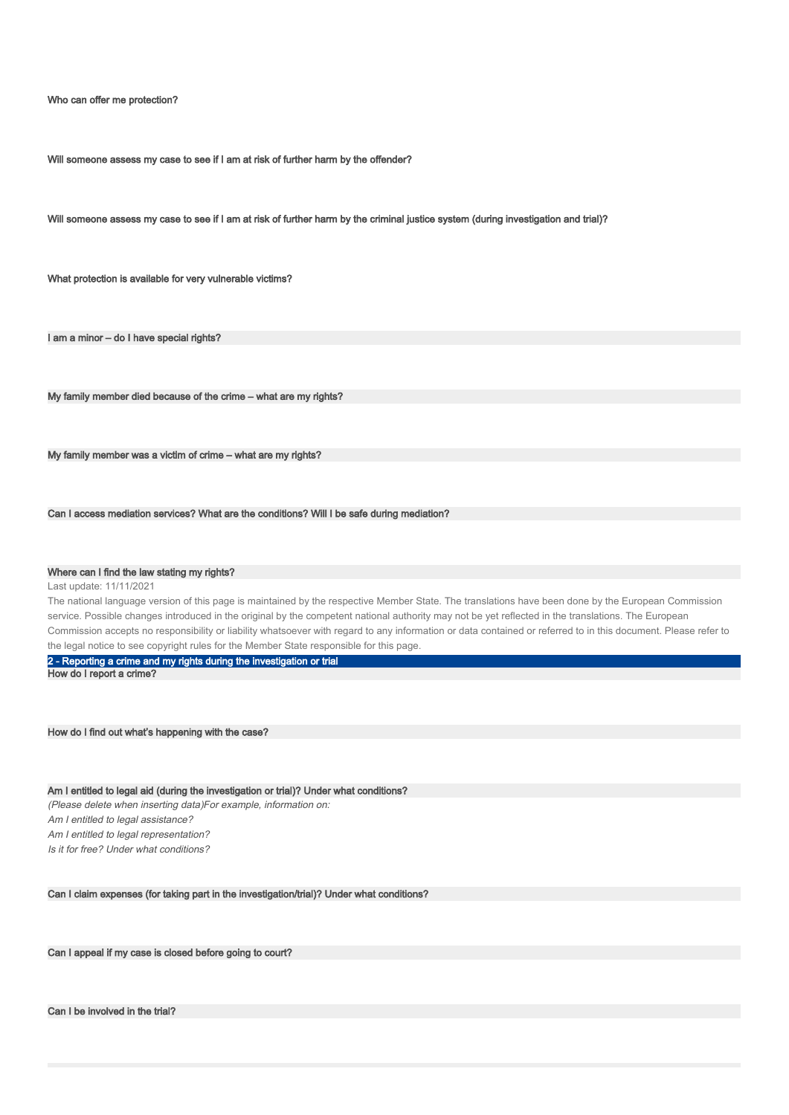Who can offer me protection?

Will someone assess my case to see if I am at risk of further harm by the offender?

Will someone assess my case to see if I am at risk of further harm by the criminal justice system (during investigation and trial)?

What protection is available for very vulnerable victims?

I am a minor - do I have special rights?

My family member died because of the crime – what are my rights?

My family member was a victim of crime – what are my rights?

Can I access mediation services? What are the conditions? Will I be safe during mediation?

### Where can I find the law stating my rights?

Last update: 11/11/2021

The national language version of this page is maintained by the respective Member State. The translations have been done by the European Commission service. Possible changes introduced in the original by the competent national authority may not be yet reflected in the translations. The European Commission accepts no responsibility or liability whatsoever with regard to any information or data contained or referred to in this document. Please refer to the legal notice to see copyright rules for the Member State responsible for this page.

2 - Reporting a crime and my rights during the investigation or trial

How do I report a crime?

How do I find out what's happening with the case?

Am I entitled to legal aid (during the investigation or trial)? Under what conditions? (Please delete when inserting data)For example, information on: Am I entitled to legal assistance?

Am I entitled to legal representation?

Is it for free? Under what conditions?

Can I claim expenses (for taking part in the investigation/trial)? Under what conditions?

Can I appeal if my case is closed before going to court?

Can I be involved in the trial?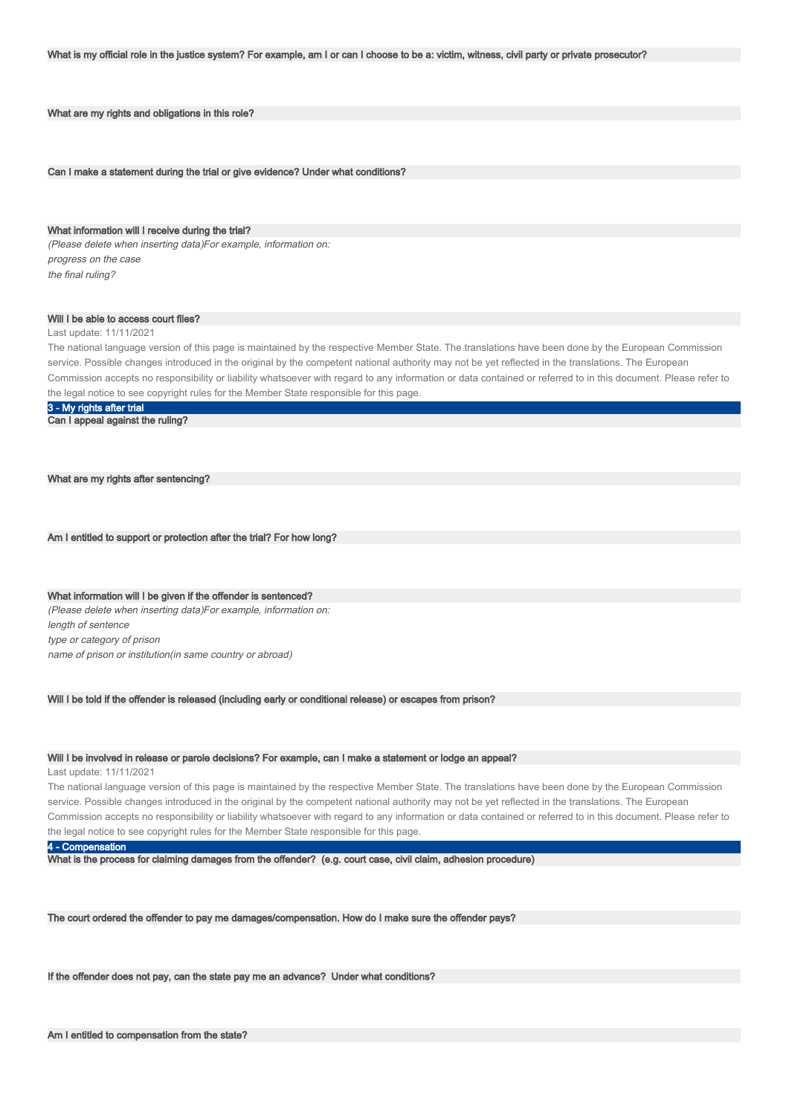What are my rights and obligations in this role?

Can I make a statement during the trial or give evidence? Under what conditions?

### What information will I receive during the trial?

(Please delete when inserting data)For example, information on: progress on the case the final ruling?

#### Will I be able to access court files?

#### Last update: 11/11/2021

The national language version of this page is maintained by the respective Member State. The translations have been done by the European Commission service. Possible changes introduced in the original by the competent national authority may not be yet reflected in the translations. The European Commission accepts no responsibility or liability whatsoever with regard to any information or data contained or referred to in this document. Please refer to the legal notice to see copyright rules for the Member State responsible for this page.

3 - My rights after trial

Can I appeal against the ruling?

#### What are my rights after sentencing?

Am I entitled to support or protection after the trial? For how long?

What information will I be given if the offender is sentenced? (Please delete when inserting data)For example, information on: length of sentence type or category of prison name of prison or institution(in same country or abroad)

Will I be told if the offender is released (including early or conditional release) or escapes from prison?

#### Will I be involved in release or parole decisions? For example, can I make a statement or lodge an appeal?

Last update: 11/11/2021

The national language version of this page is maintained by the respective Member State. The translations have been done by the European Commission service. Possible changes introduced in the original by the competent national authority may not be yet reflected in the translations. The European Commission accepts no responsibility or liability whatsoever with regard to any information or data contained or referred to in this document. Please refer to the legal notice to see copyright rules for the Member State responsible for this page.

### 4 - Compensation

What is the process for claiming damages from the offender? (e.g. court case, civil claim, adhesion procedure)

The court ordered the offender to pay me damages/compensation. How do I make sure the offender pays?

If the offender does not pay, can the state pay me an advance? Under what conditions?